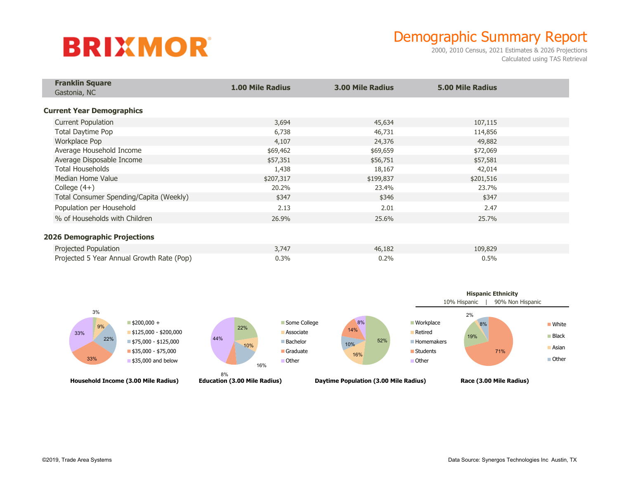## **BRIXMOR**

## Demographic Summary Report

2000, 2010 Census, 2021 Estimates & 2026 Projections Calculated using TAS Retrieval

| <b>Franklin Square</b>                    |                         |                         |                         |  |
|-------------------------------------------|-------------------------|-------------------------|-------------------------|--|
| Gastonia, NC                              | <b>1.00 Mile Radius</b> | <b>3.00 Mile Radius</b> | <b>5.00 Mile Radius</b> |  |
|                                           |                         |                         |                         |  |
| <b>Current Year Demographics</b>          |                         |                         |                         |  |
| <b>Current Population</b>                 | 3,694                   | 45,634                  | 107,115                 |  |
| Total Daytime Pop                         | 6,738                   | 46,731                  | 114,856                 |  |
| Workplace Pop                             | 4,107                   | 24,376                  | 49,882                  |  |
| Average Household Income                  | \$69,462                | \$69,659                | \$72,069                |  |
| Average Disposable Income                 | \$57,351                | \$56,751                | \$57,581                |  |
| <b>Total Households</b>                   | 1,438                   | 18,167                  | 42,014                  |  |
| Median Home Value                         | \$207,317               | \$199,837               | \$201,516               |  |
| College $(4+)$                            | 20.2%                   | 23.4%                   | 23.7%                   |  |
| Total Consumer Spending/Capita (Weekly)   | \$347                   | \$346                   | \$347                   |  |
| Population per Household                  | 2.13                    | 2.01                    | 2.47                    |  |
| % of Households with Children             | 26.9%                   | 25.6%                   | 25.7%                   |  |
|                                           |                         |                         |                         |  |
| <b>2026 Demographic Projections</b>       |                         |                         |                         |  |
| Projected Population                      | 3,747                   | 46,182                  | 109,829                 |  |
| Projected 5 Year Annual Growth Rate (Pop) | 0.3%                    | 0.2%                    | 0.5%                    |  |